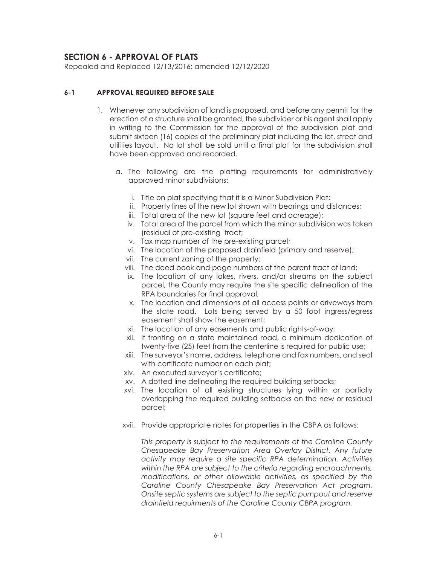# **SECTION 6 - APPROVAL OF PLATS**

Repealed and Replaced 12/13/2016; amended 12/12/2020

## **6-1 APPROVAL REQUIRED BEFORE SALE**

- 1. Whenever any subdivision of land is proposed, and before any permit for the erection of a structure shall be granted, the subdivider or his agent shall apply in writing to the Commission for the approval of the subdivision plat and submit sixteen (16) copies of the preliminary plat including the lot, street and utilities layout. No lot shall be sold until a final plat for the subdivision shall have been approved and recorded.
	- a. The following are the platting requirements for administratively approved minor subdivisions:
		- i. Title on plat specifying that it is a Minor Subdivision Plat;
		- ii. Property lines of the new lot shown with bearings and distances;
		- iii. Total area of the new lot (square feet and acreage);
		- iv. Total area of the parcel from which the minor subdivision was taken (residual of pre-existing tract;
		- v. Tax map number of the pre-existing parcel;
		- vi. The location of the proposed drainfield (primary and reserve);
		- vii. The current zoning of the property;
		- viii. The deed book and page numbers of the parent tract of land;
		- ix. The location of any lakes, rivers, and/or streams on the subject parcel, the County may require the site specific delineation of the RPA boundaries for final approval;
		- x. The location and dimensions of all access points or driveways from the state road. Lots being served by a 50 foot ingress/egress easement shall show the easement;
		- xi. The location of any easements and public rights-of-way;
		- xii. If fronting on a state maintained road, a minimum dedication of twenty-five (25) feet from the centerline is required for public use;
		- xiii. The surveyor's name, address, telephone and fax numbers, and seal with certificate number on each plat;
		- xiv. An executed surveyor's certificate;
		- xv. A dotted line delineating the required building setbacks;
		- xvi. The location of all existing structures lying within or partially overlapping the required building setbacks on the new or residual parcel;
		- xvii. Provide appropriate notes for properties in the CBPA as follows:

*This property is subject to the requirements of the Caroline County Chesapeake Bay Preservation Area Overlay District. Any future activity may require a site specific RPA determination. Activities within the RPA are subject to the criteria regarding encroachments, modifications, or other allowable activities, as specified by the Caroline County Chesapeake Bay Preservation Act program. Onsite septic systems are subject to the septic pumpout and reserve drainfield requirments of the Caroline County CBPA program.*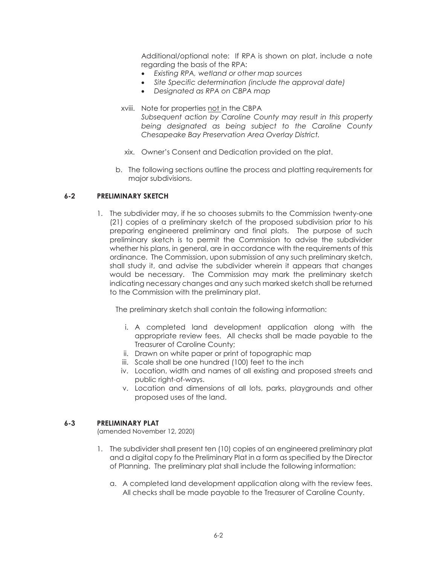Additional/optional note: If RPA is shown on plat, include a note regarding the basis of the RPA:

- x *Existing RPA, wetland or other map sources*
- Site Specific determination (include the approval date)
- x *Designated as RPA on CBPA map*
- xviii. Note for properties not in the CBPA *Subsequent action by Caroline County may result in this property being designated as being subject to the Caroline County Chesapeake Bay Preservation Area Overlay District.*
- xix. Owner's Consent and Dedication provided on the plat.
- b. The following sections outline the process and platting requirements for major subdivisions.

## **6-2 PRELIMINARY SKETCH**

1. The subdivider may, if he so chooses submits to the Commission twenty-one (21) copies of a preliminary sketch of the proposed subdivision prior to his preparing engineered preliminary and final plats. The purpose of such preliminary sketch is to permit the Commission to advise the subdivider whether his plans, in general, are in accordance with the requirements of this ordinance. The Commission, upon submission of any such preliminary sketch, shall study it, and advise the subdivider wherein it appears that changes would be necessary. The Commission may mark the preliminary sketch indicating necessary changes and any such marked sketch shall be returned to the Commission with the preliminary plat.

The preliminary sketch shall contain the following information:

- i. A completed land development application along with the appropriate review fees. All checks shall be made payable to the Treasurer of Caroline County;
- ii. Drawn on white paper or print of topographic map
- iii. Scale shall be one hundred (100) feet to the inch
- iv. Location, width and names of all existing and proposed streets and public right-of-ways.
- v. Location and dimensions of all lots, parks, playgrounds and other proposed uses of the land.

#### **6-3 PRELIMINARY PLAT**

(amended November 12, 2020)

- 1. The subdivider shall present ten (10) copies of an engineered preliminary plat and a digital copy fo the Preliminary Plat in a form as specified by the Director of Planning. The preliminary plat shall include the following information:
	- a. A completed land development application along with the review fees. All checks shall be made payable to the Treasurer of Caroline County.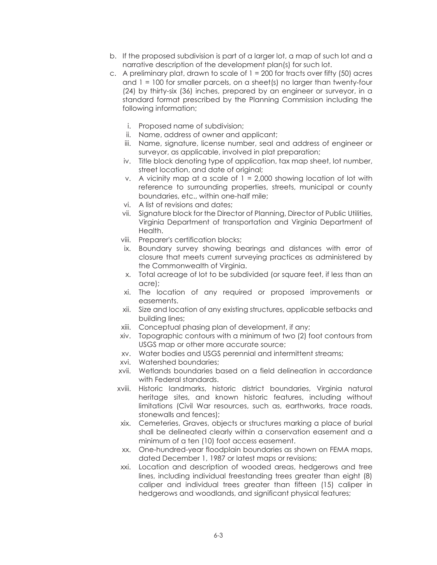- b. If the proposed subdivision is part of a larger lot, a map of such lot and a narrative description of the development plan(s) for such lot.
- c. A preliminary plat, drawn to scale of  $1 = 200$  for tracts over fifty (50) acres and  $1 = 100$  for smaller parcels, on a sheet(s) no larger than twenty-four (24) by thirty-six (36) inches, prepared by an engineer or surveyor, in a standard format prescribed by the Planning Commission including the following information;
	- i. Proposed name of subdivision;
	- ii. Name, address of owner and applicant;
	- iii. Name, signature, license number, seal and address of engineer or surveyor, as applicable, involved in plat preparation;
	- iv. Title block denoting type of application, tax map sheet, lot number, street location, and date of original;
	- v. A vicinity map at a scale of  $1 = 2,000$  showing location of lot with reference to surrounding properties, streets, municipal or county boundaries, etc., within one-half mile;
	- vi. A list of revisions and dates;
	- vii. Signature block for the Director of Planning, Director of Public Utilities, Virginia Department of transportation and Virginia Department of Health.
	- viii. Preparer's certification blocks;
	- ix. Boundary survey showing bearings and distances with error of closure that meets current surveying practices as administered by the Commonwealth of Virginia.
	- x. Total acreage of lot to be subdivided (or square feet, if less than an acre);
	- xi. The location of any required or proposed improvements or easements.
	- xii. Size and location of any existing structures, applicable setbacks and building lines;
	- xiii. Conceptual phasing plan of development, if any;
	- xiv. Topographic contours with a minimum of two (2) foot contours from USGS map or other more accurate source;
	- xv. Water bodies and USGS perennial and intermittent streams;
	- xvi. Watershed boundaries;
	- xvii. Wetlands boundaries based on a field delineation in accordance with Federal standards.
	- xviii. Historic landmarks, historic district boundaries, Virginia natural heritage sites, and known historic features, including without limitations (Civil War resources, such as, earthworks, trace roads, stonewalls and fences);
	- xix. Cemeteries, Graves, objects or structures marking a place of burial shall be delineated clearly within a conservation easement and a minimum of a ten (10) foot access easement.
	- xx. One-hundred-year floodplain boundaries as shown on FEMA maps, dated December 1, 1987 or latest maps or revisions;
	- xxi. Location and description of wooded areas, hedgerows and tree lines, including individual freestanding trees greater than eight (8) caliper and individual trees greater than fifteen (15) caliper in hedgerows and woodlands, and significant physical features;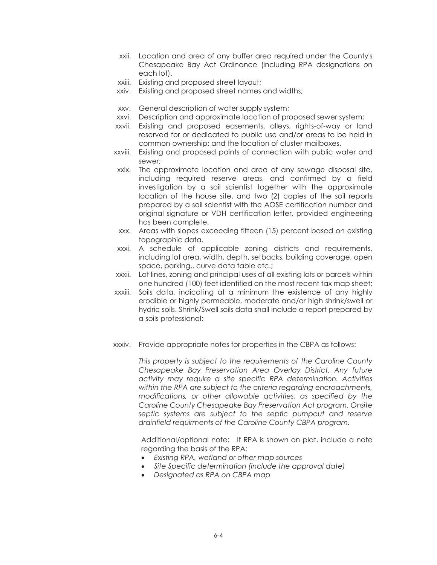- xxii. Location and area of any buffer area required under the County's Chesapeake Bay Act Ordinance (including RPA designations on each lot).
- xxiii. Existing and proposed street layout;
- xxiv. Existing and proposed street names and widths;
- xxv. General description of water supply system;
- xxvi. Description and approximate location of proposed sewer system;
- xxvii. Existing and proposed easements, alleys, rights-of-way or land reserved for or dedicated to public use and/or areas to be held in common ownership; and the location of cluster mailboxes.
- xxviii. Existing and proposed points of connection with public water and sewer;
- xxix. The approximate location and area of any sewage disposal site, including required reserve areas, and confirmed by a field investigation by a soil scientist together with the approximate location of the house site, and two (2) copies of the soil reports prepared by a soil scientist with the AOSE certification number and original signature or VDH certification letter, provided engineering has been complete.
- xxx. Areas with slopes exceeding fifteen (15) percent based on existing topographic data.
- xxxi. A schedule of applicable zoning districts and requirements, including lot area, width, depth, setbacks, building coverage, open space, parking,, curve data table etc.;
- xxxii. Lot lines, zoning and principal uses of all existing lots or parcels within one hundred (100) feet identified on the most recent tax map sheet;
- xxxiii. Soils data, indicating at a minimum the existence of any highly erodible or highly permeable, moderate and/or high shrink/swell or hydric soils. Shrink/Swell soils data shall include a report prepared by a soils professional;
- xxxiv. Provide appropriate notes for properties in the CBPA as follows:

*This property is subject to the requirements of the Caroline County Chesapeake Bay Preservation Area Overlay District. Any future activity may require a site specific RPA determination. Activities within the RPA are subject to the criteria regarding encroachments, modifications, or other allowable activities, as specified by the Caroline County Chesapeake Bay Preservation Act program. Onsite septic systems are subject to the septic pumpout and reserve drainfield requirments of the Caroline County CBPA program.* 

Additional/optional note: If RPA is shown on plat, include a note regarding the basis of the RPA:

- x *Existing RPA, wetland or other map sources*
- $\bullet$  Site Specific determination (include the approval date)
- x *Designated as RPA on CBPA map*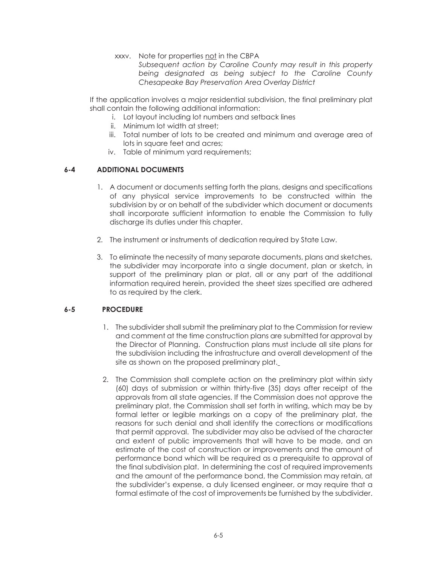xxxv. Note for properties not in the CBPA

*Subsequent action by Caroline County may result in this property being designated as being subject to the Caroline County Chesapeake Bay Preservation Area Overlay District* 

If the application involves a major residential subdivision, the final preliminary plat shall contain the following additional information:

- i. Lot layout including lot numbers and setback lines
- ii. Minimum lot width at street;
- iii. Total number of lots to be created and minimum and average area of lots in square feet and acres;
- iv. Table of minimum yard requirements;

## **6-4 ADDITIONAL DOCUMENTS**

- 1. A document or documents setting forth the plans, designs and specifications of any physical service improvements to be constructed within the subdivision by or on behalf of the subdivider which document or documents shall incorporate sufficient information to enable the Commission to fully discharge its duties under this chapter.
- 2. The instrument or instruments of dedication required by State Law.
- 3. To eliminate the necessity of many separate documents, plans and sketches, the subdivider may incorporate into a single document, plan or sketch, in support of the preliminary plan or plat, all or any part of the additional information required herein, provided the sheet sizes specified are adhered to as required by the clerk.

# **6-5 PROCEDURE**

- 1. The subdivider shall submit the preliminary plat to the Commission for review and comment at the time construction plans are submitted for approval by the Director of Planning. Construction plans must include all site plans for the subdivision including the infrastructure and overall development of the site as shown on the proposed preliminary plat.
- 2. The Commission shall complete action on the preliminary plat within sixty (60) days of submission or within thirty-five (35) days after receipt of the approvals from all state agencies. If the Commission does not approve the preliminary plat, the Commission shall set forth in writing, which may be by formal letter or legible markings on a copy of the preliminary plat, the reasons for such denial and shall identify the corrections or modifications that permit approval. The subdivider may also be advised of the character and extent of public improvements that will have to be made, and an estimate of the cost of construction or improvements and the amount of performance bond which will be required as a prerequisite to approval of the final subdivision plat. In determining the cost of required improvements and the amount of the performance bond, the Commission may retain, at the subdivider's expense, a duly licensed engineer, or may require that a formal estimate of the cost of improvements be furnished by the subdivider.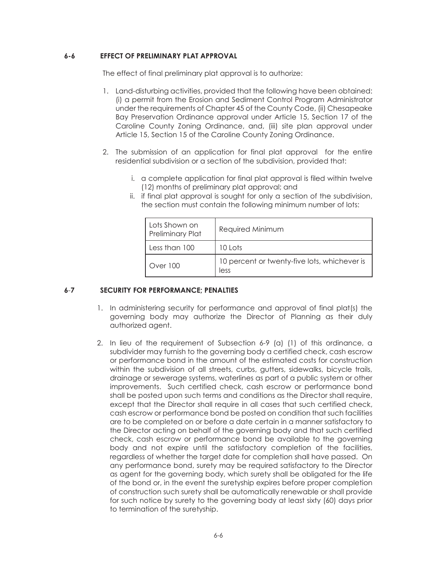#### **6-6 EFFECT OF PRELIMINARY PLAT APPROVAL**

The effect of final preliminary plat approval is to authorize:

- 1. Land-disturbing activities, provided that the following have been obtained: (i) a permit from the Erosion and Sediment Control Program Administrator under the requirements of Chapter 45 of the County Code, (ii) Chesapeake Bay Preservation Ordinance approval under Article 15, Section 17 of the Caroline County Zoning Ordinance, and, (iii) site plan approval under Article 15, Section 15 of the Caroline County Zoning Ordinance.
- 2. The submission of an application for final plat approval for the entire residential subdivision or a section of the subdivision, provided that:
	- i. a complete application for final plat approval is filed within twelve (12) months of preliminary plat approval; and
	- ii. if final plat approval is sought for only a section of the subdivision, the section must contain the following minimum number of lots:

| Lots Shown on<br><b>Preliminary Plat</b> | Required Minimum                                     |
|------------------------------------------|------------------------------------------------------|
| Less than 100                            | 10 Lots                                              |
| Over 100                                 | 10 percent or twenty-five lots, whichever is<br>less |

# **6**-**7 SECURITY FOR PERFORMANCE; PENALTIES**

- 1. In administering security for performance and approval of final plat(s) the governing body may authorize the Director of Planning as their duly authorized agent.
- 2. In lieu of the requirement of Subsection 6-9 (a) (1) of this ordinance, a subdivider may furnish to the governing body a certified check, cash escrow or performance bond in the amount of the estimated costs for construction within the subdivision of all streets, curbs, gutters, sidewalks, bicycle trails, drainage or sewerage systems, waterlines as part of a public system or other improvements. Such certified check, cash escrow or performance bond shall be posted upon such terms and conditions as the Director shall require, except that the Director shall require in all cases that such certified check, cash escrow or performance bond be posted on condition that such facilities are to be completed on or before a date certain in a manner satisfactory to the Director acting on behalf of the governing body and that such certified check, cash escrow or performance bond be available to the governing body and not expire until the satisfactory completion of the facilities, regardless of whether the target date for completion shall have passed. On any performance bond, surety may be required satisfactory to the Director as agent for the governing body, which surety shall be obligated for the life of the bond or, in the event the suretyship expires before proper completion of construction such surety shall be automatically renewable or shall provide for such notice by surety to the governing body at least sixty (60) days prior to termination of the suretyship.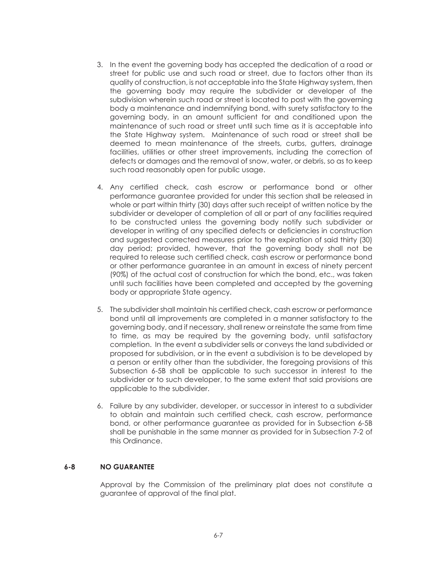- 3. In the event the governing body has accepted the dedication of a road or street for public use and such road or street, due to factors other than its quality of construction, is not acceptable into the State Highway system, then the governing body may require the subdivider or developer of the subdivision wherein such road or street is located to post with the governing body a maintenance and indemnifying bond, with surety satisfactory to the governing body, in an amount sufficient for and conditioned upon the maintenance of such road or street until such time as it is acceptable into the State Highway system. Maintenance of such road or street shall be deemed to mean maintenance of the streets, curbs, gutters, drainage facilities, utilities or other street improvements, including the correction of defects or damages and the removal of snow, water, or debris, so as to keep such road reasonably open for public usage.
- 4. Any certified check, cash escrow or performance bond or other performance guarantee provided for under this section shall be released in whole or part within thirty (30) days after such receipt of written notice by the subdivider or developer of completion of all or part of any facilities required to be constructed unless the governing body notify such subdivider or developer in writing of any specified defects or deficiencies in construction and suggested corrected measures prior to the expiration of said thirty (30) day period; provided, however, that the governing body shall not be required to release such certified check, cash escrow or performance bond or other performance guarantee in an amount in excess of ninety percent (90%) of the actual cost of construction for which the bond, etc., was taken until such facilities have been completed and accepted by the governing body or appropriate State agency.
- 5. The subdivider shall maintain his certified check, cash escrow or performance bond until all improvements are completed in a manner satisfactory to the governing body, and if necessary, shall renew or reinstate the same from time to time, as may be required by the governing body, until satisfactory completion. In the event a subdivider sells or conveys the land subdivided or proposed for subdivision, or in the event a subdivision is to be developed by a person or entity other than the subdivider, the foregoing provisions of this Subsection 6-5B shall be applicable to such successor in interest to the subdivider or to such developer, to the same extent that said provisions are applicable to the subdivider.
- 6. Failure by any subdivider, developer, or successor in interest to a subdivider to obtain and maintain such certified check, cash escrow, performance bond, or other performance guarantee as provided for in Subsection 6-5B shall be punishable in the same manner as provided for in Subsection 7-2 of this Ordinance.

#### **6-8 NO GUARANTEE**

Approval by the Commission of the preliminary plat does not constitute a guarantee of approval of the final plat.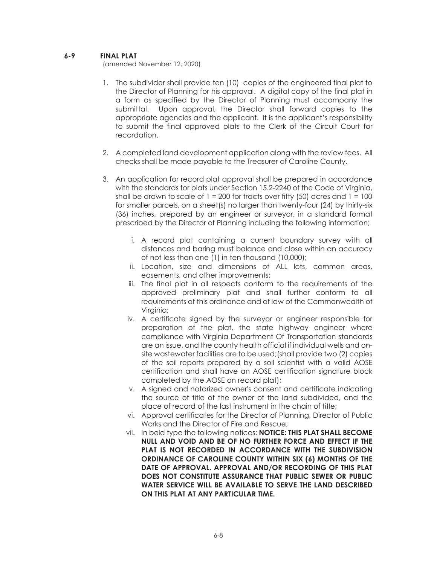## **6-9 FINAL PLAT**

(amended November 12, 2020)

- 1. The subdivider shall provide ten (10) copies of the engineered final plat to the Director of Planning for his approval. A digital copy of the final plat in a form as specified by the Director of Planning must accompany the submittal. Upon approval, the Director shall forward copies to the appropriate agencies and the applicant. It is the applicant's responsibility to submit the final approved plats to the Clerk of the Circuit Court for recordation.
- 2. A completed land development application along with the review fees. All checks shall be made payable to the Treasurer of Caroline County.
- 3. An application for record plat approval shall be prepared in accordance with the standards for plats under Section 15.2-2240 of the Code of Virginia, shall be drawn to scale of  $1 = 200$  for tracts over fifty (50) acres and  $1 = 100$ for smaller parcels, on a sheet(s) no larger than twenty-four (24) by thirty-six (36) inches, prepared by an engineer or surveyor, in a standard format prescribed by the Director of Planning including the following information;
	- i. A record plat containing a current boundary survey with all distances and baring must balance and close within an accuracy of not less than one (1) in ten thousand (10,000);
	- ii. Location, size and dimensions of ALL lots, common areas, easements, and other improvements;
	- iii. The final plat in all respects conform to the requirements of the approved preliminary plat and shall further conform to all requirements of this ordinance and of law of the Commonwealth of Virginia;
	- iv. A certificate signed by the surveyor or engineer responsible for preparation of the plat, the state highway engineer where compliance with Virginia Department Of Transportation standards are an issue, and the county health official if individual wells and onsite wastewater facilities are to be used;(shall provide two (2) copies of the soil reports prepared by a soil scientist with a valid AOSE certification and shall have an AOSE certification signature block completed by the AOSE on record plat);
	- v. A signed and notarized owner's consent and certificate indicating the source of title of the owner of the land subdivided, and the place of record of the last instrument in the chain of title;
	- vi. Approval certificates for the Director of Planning, Director of Public Works and the Director of Fire and Rescue;
	- vii. In bold type the following notices: **NOTICE: THIS PLAT SHALL BECOME NULL AND VOID AND BE OF NO FURTHER FORCE AND EFFECT IF THE PLAT IS NOT RECORDED IN ACCORDANCE WITH THE SUBDIVISION ORDINANCE OF CAROLINE COUNTY WITHIN SIX (6) MONTHS OF THE DATE OF APPROVAL. APPROVAL AND/OR RECORDING OF THIS PLAT DOES NOT CONSTITUTE ASSURANCE THAT PUBLIC SEWER OR PUBLIC WATER SERVICE WILL BE AVAILABLE TO SERVE THE LAND DESCRIBED ON THIS PLAT AT ANY PARTICULAR TIME.**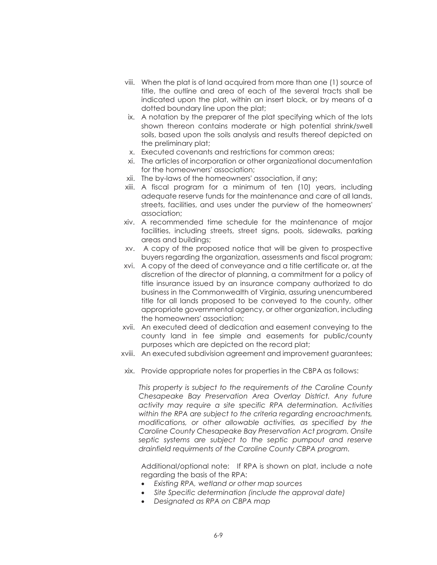- viii. When the plat is of land acquired from more than one (1) source of title, the outline and area of each of the several tracts shall be indicated upon the plat, within an insert block, or by means of a dotted boundary line upon the plat;
- ix. A notation by the preparer of the plat specifying which of the lots shown thereon contains moderate or high potential shrink/swell soils, based upon the soils analysis and results thereof depicted on the preliminary plat;
- x. Executed covenants and restrictions for common areas;
- xi. The articles of incorporation or other organizational documentation for the homeowners' association;
- xii. The by-laws of the homeowners' association, if any;
- xiii. A fiscal program for a minimum of ten (10) years, including adequate reserve funds for the maintenance and care of all lands, streets, facilities, and uses under the purview of the homeowners' association;
- xiv. A recommended time schedule for the maintenance of major facilities, including streets, street signs, pools, sidewalks, parking areas and buildings;
- xv. A copy of the proposed notice that will be given to prospective buyers regarding the organization, assessments and fiscal program;
- xvi. A copy of the deed of conveyance and a title certificate or, at the discretion of the director of planning, a commitment for a policy of title insurance issued by an insurance company authorized to do business in the Commonwealth of Virginia, assuring unencumbered title for all lands proposed to be conveyed to the county, other appropriate governmental agency, or other organization, including the homeowners' association;
- xvii. An executed deed of dedication and easement conveying to the county land in fee simple and easements for public/county purposes which are depicted on the record plat;
- xviii. An executed subdivision agreement and improvement guarantees;
- xix. Provide appropriate notes for properties in the CBPA as follows:

*This property is subject to the requirements of the Caroline County Chesapeake Bay Preservation Area Overlay District. Any future activity may require a site specific RPA determination. Activities within the RPA are subject to the criteria regarding encroachments, modifications, or other allowable activities, as specified by the Caroline County Chesapeake Bay Preservation Act program. Onsite septic systems are subject to the septic pumpout and reserve drainfield requirments of the Caroline County CBPA program.* 

Additional/optional note: If RPA is shown on plat, include a note regarding the basis of the RPA:

- x *Existing RPA, wetland or other map sources*
- $\bullet$  Site Specific determination (include the approval date)
- x *Designated as RPA on CBPA map*